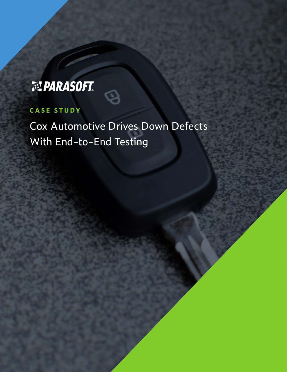# 起PARASOFT.

## **CASE STUDY**

Cox Automotive Drives Down Defects With End-to-End Testing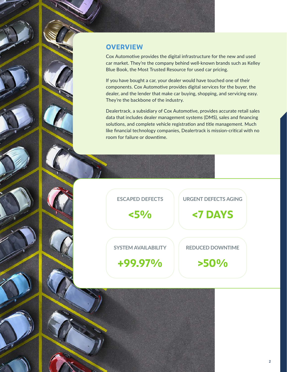### **OVERVIEW**

Cox Automotive provides the digital infrastructure for the new and used car market. They're the company behind well-known brands such as Kelley Blue Book, the Most Trusted Resource for used car pricing.

If you have bought a car, your dealer would have touched one of their components. Cox Automotive provides digital services for the buyer, the dealer, and the lender that make car buying, shopping, and servicing easy. They're the backbone of the industry.

Dealertrack, a subsidiary of Cox Automotive, provides accurate retail sales data that includes dealer management systems (DMS), sales and financing solutions, and complete vehicle registration and title management. Much like financial technology companies, Dealertrack is mission-critical with no room for failure or downtime.

**ESCAPED DEFECTS**

**<5%**

**SYSTEM AVAILABILITY** 

**REDUCED DOWNTIME** 

**URGENT DEFECTS AGING**

**<7 DAYS**

**+99.97%**

**>50%**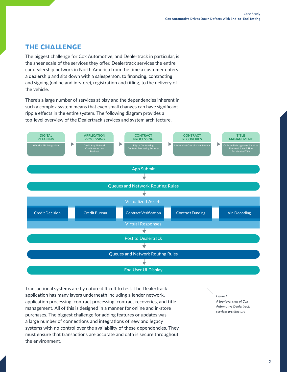## **THE CHALLENGE**

The biggest challenge for Cox Automotive, and Dealertrack in particular, is the sheer scale of the services they offer. Dealertrack services the entire car dealership network in North America from the time a customer enters a dealership and sits down with a salesperson, to financing, contracting and signing (online and in-store), registration and titling, to the delivery of the vehicle.

There's a large number of services at play and the dependencies inherent in such a complex system means that even small changes can have significant ripple effects in the entire system. The following diagram provides a top-level overview of the Dealertrack services and system architecture.



Transactional systems are by nature difficult to test. The Dealertrack application has many layers underneath including a lender network, application processing, contract processing, contract recoveries, and title management. All of this is designed in a manner for online and in-store purchases. The biggest challenge for adding features or updates was a large number of connections and integrations of new and legacy systems with no control over the availability of these dependencies. They must ensure that transactions are accurate and data is secure throughout the environment.

*Figure 1: A top-level view of Cox Automotive Dealertrack services architecture*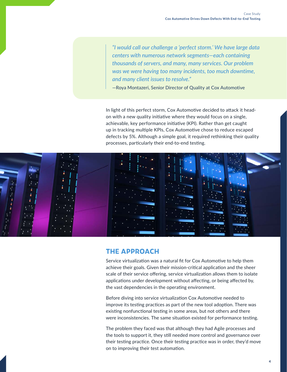*"I would call our challenge a 'perfect storm.' We have large data centers with numerous network segments—each containing thousands of servers, and many, many services. Our problem was we were having too many incidents, too much downtime, and many client issues to resolve."* 

—Roya Montazeri, Senior Director of Quality at Cox Automotive

In light of this perfect storm, Cox Automotive decided to attack it headon with a new quality initiative where they would focus on a single, achievable, key performance initiative (KPI). Rather than get caught up in tracking multiple KPIs, Cox Automotive chose to reduce escaped defects by 5%. Although a simple goal, it required rethinking their quality processes, particularly their end-to-end testing.



#### **THE APPROACH**

Service virtualization was a natural fit for Cox Automotive to help them achieve their goals. Given their mission-critical application and the sheer scale of their service offering, service virtualization allows them to isolate applications under development without affecting, or being affected by, the vast dependencies in the operating environment.

Before diving into service virtualization Cox Automotive needed to improve its testing practices as part of the new tool adoption. There was existing nonfunctional testing in some areas, but not others and there were inconsistencies. The same situation existed for performance testing.

The problem they faced was that although they had Agile processes and the tools to support it, they still needed more control and governance over their testing practice. Once their testing practice was in order, they'd move on to improving their test automation.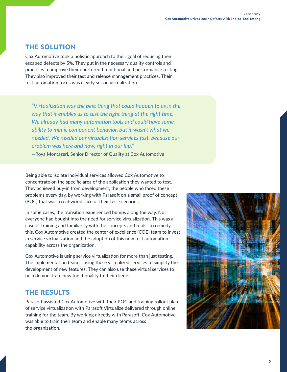## **THE SOLUTION**

Cox Automotive took a holistic approach to their goal of reducing their escaped defects by 5%. They put in the necessary quality controls and practices to improve their end-to-end functional and performance testing. They also improved their test and release management practices. Their test automation focus was clearly set on virtualization.

*"Virtualization was the best thing that could happen to us in the way that it enables us to test the right thing at the right time. We already had many automation tools and could have some ability to mimic component behavior, but it wasn't what we needed. We needed our virtualization services fast, because our problem was here and now, right in our lap."* 

—Roya Montazeri, Senior Director of Quality at Cox Automotive

Being able to isolate individual services allowed Cox Automotive to concentrate on the specific area of the application they wanted to test. They achieved buy-in from development, the people who faced these problems every day, by working with Parasoft on a small proof of concept (POC) that was a real-world slice of their test scenarios.

In some cases, the transition experienced bumps along the way. Not everyone had bought into the need for service virtualization. This was a case of training and familiarity with the concepts and tools. To remedy this, Cox Automotive created the center of excellence (COE) team to invest in service virtualization and the adoption of this new test automation capability across the organization.

Cox Automotive is using service virtualization for more than just testing. The implementation team is using these virtualized services to simplify the development of new features. They can also use these virtual services to help demonstrate new functionality to their clients.

## **THE RESULTS**

Parasoft assisted Cox Automotive with their POC and training rollout plan of service virtualization with Parasoft Virtualize delivered through online training for the team. By working directly with Parasoft, Cox Automotive was able to train their team and enable many teams across the organization.

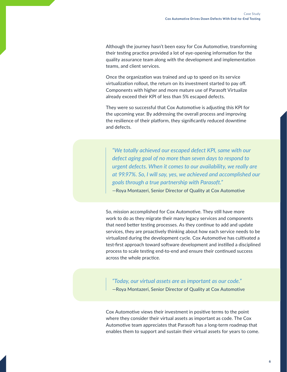Although the journey hasn't been easy for Cox Automotive, transforming their testing practice provided a lot of eye-opening information for the quality assurance team along with the development and implementation teams, and client services.

Once the organization was trained and up to speed on its service virtualization rollout, the return on its investment started to pay off. Components with higher and more mature use of Parasoft Virtualize already exceed their KPI of less than 5% escaped defects.

They were so successful that Cox Automotive is adjusting this KPI for the upcoming year. By addressing the overall process and improving the resilience of their platform, they significantly reduced downtime and defects.

*"We totally achieved our escaped defect KPI, same with our defect aging goal of no more than seven days to respond to urgent defects. When it comes to our availability, we really are at 99.97%. So, I will say, yes, we achieved and accomplished our goals through a true partnership with Parasoft."* 

—Roya Montazeri, Senior Director of Quality at Cox Automotive

So, mission accomplished for Cox Automotive. They still have more work to do as they migrate their many legacy services and components that need better testing processes. As they continue to add and update services, they are proactively thinking about how each service needs to be virtualized during the development cycle. Cox Automotive has cultivated a test-first approach toward software development and instilled a disciplined process to scale testing end-to-end and ensure their continued success across the whole practice.

*"Today, our virtual assets are as important as our code."*  —Roya Montazeri, Senior Director of Quality at Cox Automotive

Cox Automotive views their investment in positive terms to the point where they consider their virtual assets as important as code. The Cox Automotive team appreciates that Parasoft has a long-term roadmap that enables them to support and sustain their virtual assets for years to come.